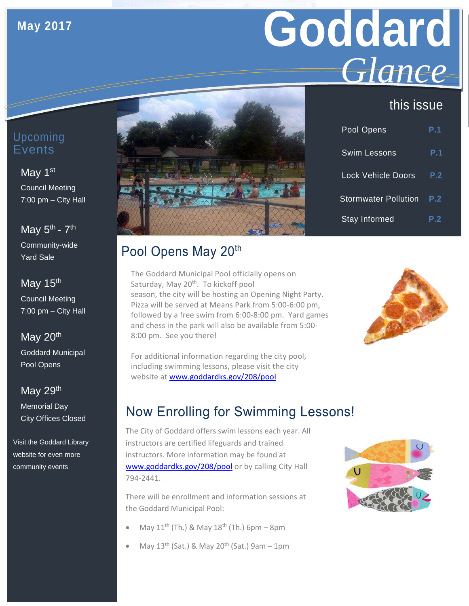## **May 2017**

# **Goddard** *Glance*

## this issue

| Pool Opens                  | P.1 |
|-----------------------------|-----|
| <b>Swim Lessons</b>         | P.1 |
| <b>Lock Vehicle Doors</b>   | P.2 |
| <b>Stormwater Pollution</b> | P.2 |
| <b>Stay Informed</b>        | P.2 |

#### Upcoming Events

#### May 1<sup>st</sup>

Council Meeting 7:00 pm – City Hall

May  $5^{\text{th}}$  -  $7^{\text{th}}$ Community-wide

Yard Sale

May 15<sup>th</sup> Council Meeting 7:00 pm – City Hall

### May 20<sup>th</sup>

Goddard Municipal Pool Opens

May 29<sup>th</sup> Memorial Day City Offices Closed

Visit the Goddard Library website for even more community events

## Pool Opens May 20th

The Goddard Municipal Pool officially opens on Saturday, May 20<sup>th</sup>. To kickoff pool season, the city will be hosting an Opening Night Party. Pizza will be served at Means Park from 5:00-6:00 pm, followed by a free swim from 6:00-8:00 pm. Yard games and chess in the park will also be available from 5:00- 8:00 pm. See you there!



For additional information regarding the city pool, including swimming lessons, please visit the city website at [www.goddardks.gov/208/pool](http://www.goddardks.gov/208/pool)

## **Now Enrolling for Swimming Lessons!**

The City of Goddard offers swim lessons each year. All instructors are certified lifeguards and trained instructors. More information may be found at [www.goddardks.gov/208/pool](http://goddardks.gov/208/pool) or by calling City Hall 794-2441.

There will be enrollment and information sessions at the Goddard Municipal Pool:

- May  $11^{th}$  (Th.) & May  $18^{th}$  (Th.) 6pm 8pm
- May  $13^{th}$  (Sat.) & May  $20^{th}$  (Sat.) 9am 1pm